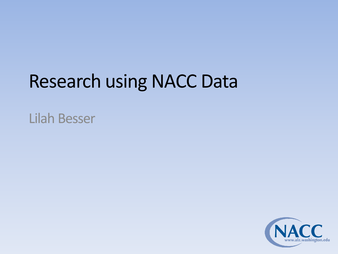# Research using NACC Data

Lilah Besser

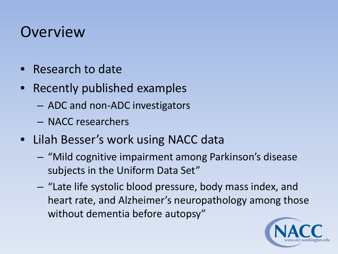### **Overview**

- Research to date
- Recently published examples
	- ADC and non-ADC investigators
	- NACC researchers
- Lilah Besser's work using NACC data
	- "Mild cognitive impairment among Parkinson's disease subjects in the Uniform Data Set"
	- "Late life systolic blood pressure, body mass index, and heart rate, and Alzheimer's neuropathology among those without dementia before autopsy"

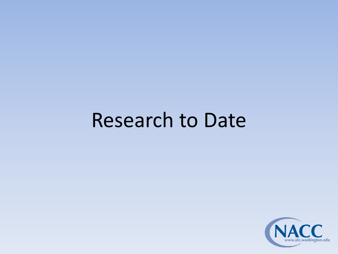# Research to Date

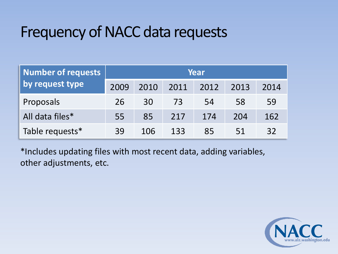## Frequency of NACC data requests

| Number of requests | Year      |      |      |      |      |      |
|--------------------|-----------|------|------|------|------|------|
| by request type    | 2009      | 2010 | 2011 | 2012 | 2013 | 2014 |
| Proposals          | <b>26</b> | 30   | 73   | 54   | 58   | 59   |
| All data files*    | 55        | 85   | 217  | 174  | 204  | 162  |
| Table requests*    | 39        | 106  | 133  | 85   | 51   | 32   |

\*Includes updating files with most recent data, adding variables, other adjustments, etc.

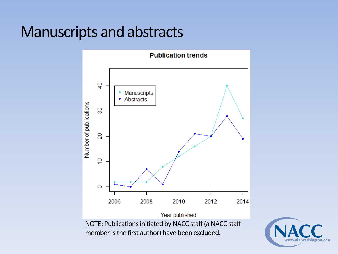#### Manuscripts and abstracts



NOTE: Publications initiated by NACC staff (a NACC staff member is the first author) have been excluded.

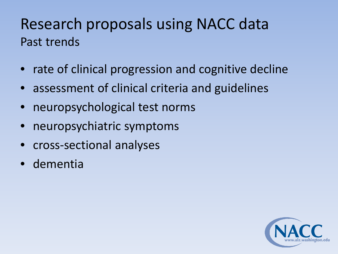## Research proposals using NACC data Past trends

- rate of clinical progression and cognitive decline
- assessment of clinical criteria and guidelines
- neuropsychological test norms
- neuropsychiatric symptoms
- cross-sectional analyses
- dementia

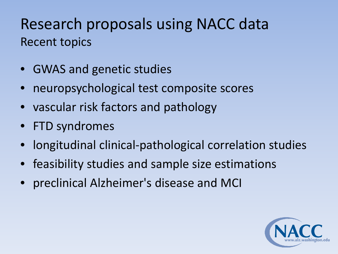## Research proposals using NACC data Recent topics

- GWAS and genetic studies
- neuropsychological test composite scores
- vascular risk factors and pathology
- FTD syndromes
- longitudinal clinical-pathological correlation studies
- feasibility studies and sample size estimations
- preclinical Alzheimer's disease and MCI

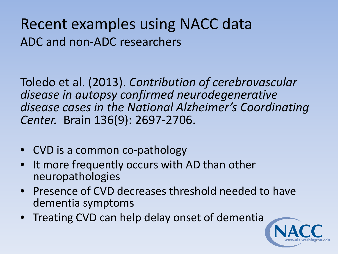### Recent examples using NACC data ADC and non-ADC researchers

Toledo et al. (2013). *Contribution of cerebrovascular disease in autopsy confirmed neurodegenerative disease cases in the National Alzheimer's Coordinating Center.* Brain 136(9): 2697-2706.

- CVD is a common co-pathology
- It more frequently occurs with AD than other neuropathologies
- Presence of CVD decreases threshold needed to have dementia symptoms
- Treating CVD can help delay onset of dementia

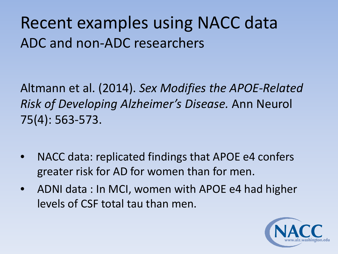# Recent examples using NACC data ADC and non-ADC researchers

Altmann et al. (2014). *Sex Modifies the APOE-Related Risk of Developing Alzheimer's Disease.* Ann Neurol 75(4): 563-573.

- NACC data: replicated findings that APOE e4 confers greater risk for AD for women than for men.
- ADNI data : In MCI, women with APOE e4 had higher levels of CSF total tau than men.

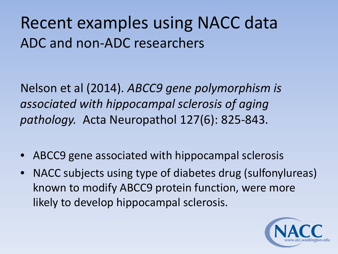# Recent examples using NACC data ADC and non-ADC researchers

Nelson et al (2014). *ABCC9 gene polymorphism is associated with hippocampal sclerosis of aging pathology.* Acta Neuropathol 127(6): 825-843.

- ABCC9 gene associated with hippocampal sclerosis
- NACC subjects using type of diabetes drug (sulfonylureas) known to modify ABCC9 protein function, were more likely to develop hippocampal sclerosis.

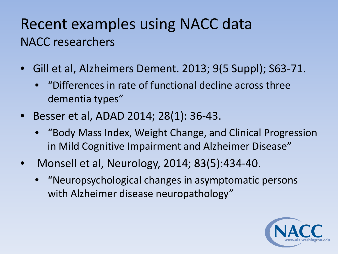## Recent examples using NACC data NACC researchers

- Gill et al, Alzheimers Dement. 2013; 9(5 Suppl); S63-71.
	- "Differences in rate of functional decline across three dementia types"
- Besser et al, ADAD 2014; 28(1): 36-43.
	- "Body Mass Index, Weight Change, and Clinical Progression in Mild Cognitive Impairment and Alzheimer Disease"
- Monsell et al, Neurology, 2014; 83(5):434-40.
	- "Neuropsychological changes in asymptomatic persons with Alzheimer disease neuropathology"

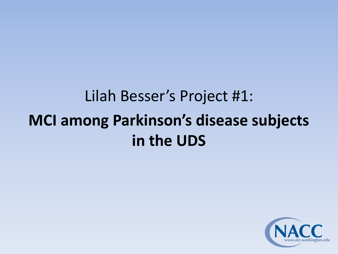# Lilah Besser's Project #1: **MCI among Parkinson's disease subjects in the UDS**

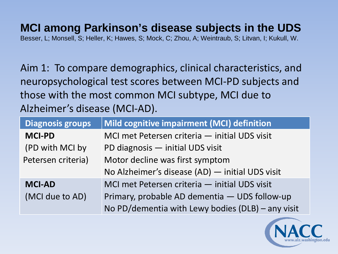#### **MCI among Parkinson's disease subjects in the UDS**

Besser, L; Monsell, S; Heller, K; Hawes, S; Mock, C; Zhou, A; Weintraub, S; Litvan, I; Kukull, W.

Aim 1: To compare demographics, clinical characteristics, and neuropsychological test scores between MCI-PD subjects and those with the most common MCI subtype, MCI due to Alzheimer's disease (MCI-AD).

| <b>Diagnosis groups</b> | Mild cognitive impairment (MCI) definition        |
|-------------------------|---------------------------------------------------|
| <b>MCI-PD</b>           | MCI met Petersen criteria — initial UDS visit     |
| (PD with MCI by         | PD diagnosis - initial UDS visit                  |
| Petersen criteria)      | Motor decline was first symptom                   |
|                         | No Alzheimer's disease (AD) - initial UDS visit   |
| <b>MCI-AD</b>           | MCI met Petersen criteria — initial UDS visit     |
| (MCI due to AD)         | Primary, probable AD dementia - UDS follow-up     |
|                         | No PD/dementia with Lewy bodies (DLB) - any visit |

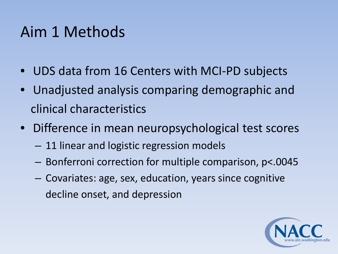## Aim 1 Methods

- UDS data from 16 Centers with MCI-PD subjects
- Unadjusted analysis comparing demographic and clinical characteristics
- Difference in mean neuropsychological test scores
	- 11 linear and logistic regression models
	- Bonferroni correction for multiple comparison, p<.0045
	- Covariates: age, sex, education, years since cognitive decline onset, and depression

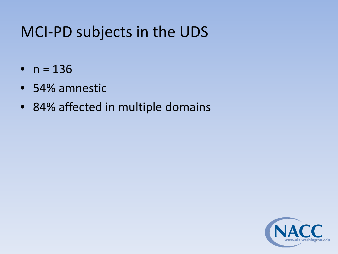## MCI-PD subjects in the UDS

- $n = 136$
- 54% amnestic
- 84% affected in multiple domains

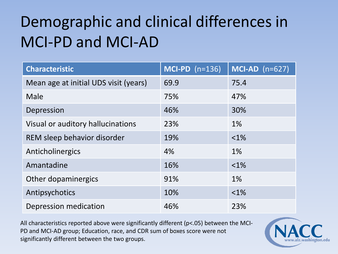# Demographic and clinical differences in MCI-PD and MCI-AD

| <b>Characteristic</b>                 | $MCI-PD (n=136)$ | $MCI-AD$ (n=627) |
|---------------------------------------|------------------|------------------|
| Mean age at initial UDS visit (years) | 69.9             | 75.4             |
| Male                                  | 75%              | 47%              |
| Depression                            | 46%              | 30%              |
| Visual or auditory hallucinations     | 23%              | 1%               |
| REM sleep behavior disorder           | 19%              | $< 1\%$          |
| Anticholinergics                      | 4%               | 1%               |
| Amantadine                            | 16%              | $< 1\%$          |
| Other dopaminergics                   | 91%              | 1%               |
| Antipsychotics                        | 10%              | $< 1\%$          |
| Depression medication                 | 46%              | 23%              |

All characteristics reported above were significantly different (p<.05) between the MCI-PD and MCI-AD group; Education, race, and CDR sum of boxes score were not significantly different between the two groups.

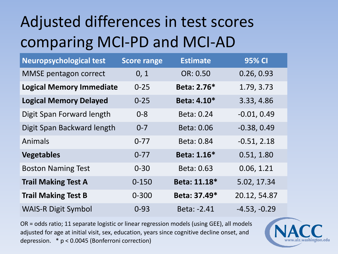# Adjusted differences in test scores comparing MCI-PD and MCI-AD

| <b>Neuropsychological test</b>  | <b>Score range</b> | <b>Estimate</b> | 95% CI         |
|---------------------------------|--------------------|-----------------|----------------|
| <b>MMSE</b> pentagon correct    | 0, 1               | OR: 0.50        | 0.26, 0.93     |
| <b>Logical Memory Immediate</b> | $0 - 25$           | Beta: 2.76*     | 1.79, 3.73     |
| <b>Logical Memory Delayed</b>   | $0 - 25$           | Beta: 4.10*     | 3.33, 4.86     |
| Digit Span Forward length       | $0 - 8$            | Beta: 0.24      | $-0.01, 0.49$  |
| Digit Span Backward length      | $0 - 7$            | Beta: 0.06      | $-0.38, 0.49$  |
| Animals                         | $0 - 77$           | Beta: 0.84      | $-0.51, 2.18$  |
| <b>Vegetables</b>               | $0 - 77$           | Beta: 1.16*     | 0.51, 1.80     |
| <b>Boston Naming Test</b>       | $0 - 30$           | Beta: 0.63      | 0.06, 1.21     |
| <b>Trail Making Test A</b>      | $0 - 150$          | Beta: 11.18*    | 5.02, 17.34    |
| <b>Trail Making Test B</b>      | $0 - 300$          | Beta: 37.49*    | 20.12, 54.87   |
| <b>WAIS-R Digit Symbol</b>      | $0 - 93$           | Beta: -2.41     | $-4.53, -0.29$ |

OR = odds ratio; 11 separate logistic or linear regression models (using GEE), all models adjusted for age at initial visit, sex, education, years since cognitive decline onset, and depression. \* p < 0.0045 (Bonferroni correction)

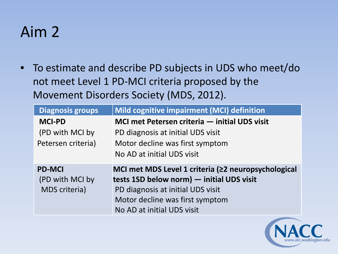## Aim 2

• To estimate and describe PD subjects in UDS who meet/do not meet Level 1 PD-MCI criteria proposed by the Movement Disorders Society (MDS, 2012).

| <b>Diagnosis groups</b>                                  | Mild cognitive impairment (MCI) definition                                                                                                                                                             |
|----------------------------------------------------------|--------------------------------------------------------------------------------------------------------------------------------------------------------------------------------------------------------|
| <b>MCI-PD</b>                                            | MCI met Petersen criteria – initial UDS visit                                                                                                                                                          |
| (PD with MCI by                                          | PD diagnosis at initial UDS visit                                                                                                                                                                      |
| Petersen criteria)                                       | Motor decline was first symptom                                                                                                                                                                        |
|                                                          | No AD at initial UDS visit                                                                                                                                                                             |
| <b>PD-MCI</b><br>(PD with MCI by<br><b>MDS</b> criteria) | MCI met MDS Level 1 criteria (≥2 neuropsychological<br>tests 1SD below norm) - initial UDS visit<br>PD diagnosis at initial UDS visit<br>Motor decline was first symptom<br>No AD at initial UDS visit |

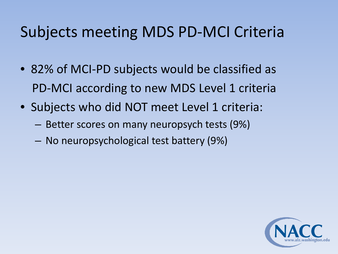## Subjects meeting MDS PD-MCI Criteria

- 82% of MCI-PD subjects would be classified as PD-MCI according to new MDS Level 1 criteria
- Subjects who did NOT meet Level 1 criteria:
	- Better scores on many neuropsych tests (9%)
	- No neuropsychological test battery (9%)

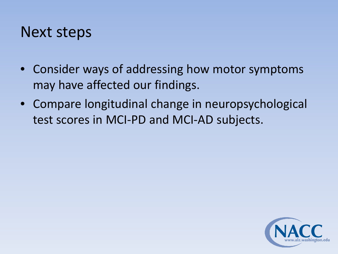#### Next steps

- Consider ways of addressing how motor symptoms may have affected our findings.
- Compare longitudinal change in neuropsychological test scores in MCI-PD and MCI-AD subjects.

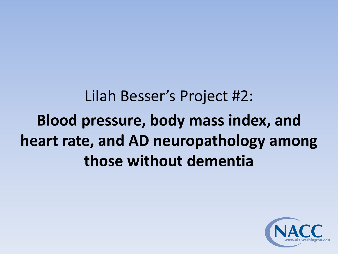Lilah Besser's Project #2: **Blood pressure, body mass index, and heart rate, and AD neuropathology among those without dementia**

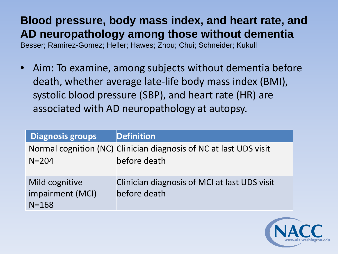#### **Blood pressure, body mass index, and heart rate, and AD neuropathology among those without dementia** Besser; Ramirez-Gomez; Heller; Hawes; Zhou; Chui; Schneider; Kukull

• Aim: To examine, among subjects without dementia before death, whether average late-life body mass index (BMI), systolic blood pressure (SBP), and heart rate (HR) are associated with AD neuropathology at autopsy.

| <b>Diagnosis groups</b>                         | Definition                                                                        |
|-------------------------------------------------|-----------------------------------------------------------------------------------|
| $N = 204$                                       | Normal cognition (NC) Clinician diagnosis of NC at last UDS visit<br>before death |
| Mild cognitive<br>impairment (MCI)<br>$N = 168$ | Clinician diagnosis of MCI at last UDS visit<br>before death                      |

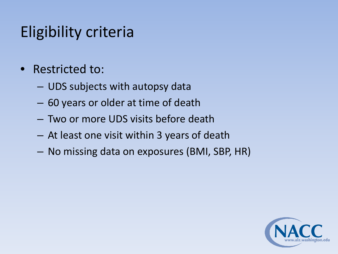# Eligibility criteria

- Restricted to:
	- UDS subjects with autopsy data
	- 60 years or older at time of death
	- Two or more UDS visits before death
	- At least one visit within 3 years of death
	- No missing data on exposures (BMI, SBP, HR)

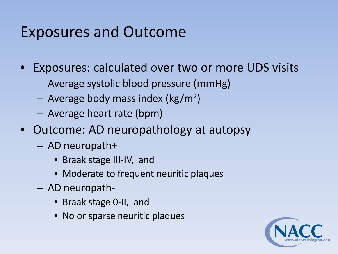## Exposures and Outcome

- Exposures: calculated over two or more UDS visits
	- Average systolic blood pressure (mmHg)
	- $-$  Average body mass index (kg/m<sup>2</sup>)
	- Average heart rate (bpm)
- Outcome: AD neuropathology at autopsy
	- AD neuropath+
		- Braak stage III-IV, and
		- Moderate to frequent neuritic plaques
	- AD neuropath-
		- Braak stage 0-II, and
		- No or sparse neuritic plaques

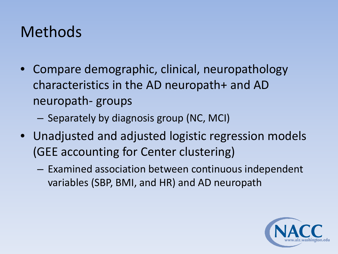## Methods

- Compare demographic, clinical, neuropathology characteristics in the AD neuropath+ and AD neuropath- groups
	- Separately by diagnosis group (NC, MCI)
- Unadjusted and adjusted logistic regression models (GEE accounting for Center clustering)
	- Examined association between continuous independent variables (SBP, BMI, and HR) and AD neuropath

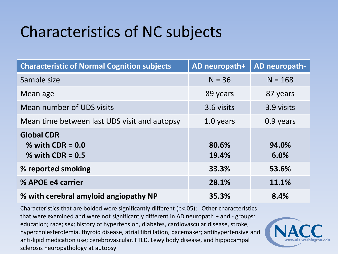# Characteristics of NC subjects

| <b>Characteristic of Normal Cognition subjects</b>            | AD neuropath+  | AD neuropath- |
|---------------------------------------------------------------|----------------|---------------|
| Sample size                                                   | $N = 36$       | $N = 168$     |
| Mean age                                                      | 89 years       | 87 years      |
| Mean number of UDS visits                                     | 3.6 visits     | 3.9 visits    |
| Mean time between last UDS visit and autopsy                  | 1.0 years      | 0.9 years     |
| <b>Global CDR</b><br>% with $CDR = 0.0$<br>% with $CDR = 0.5$ | 80.6%<br>19.4% | 94.0%<br>6.0% |
| % reported smoking                                            | 33.3%          | 53.6%         |
| % APOE e4 carrier                                             | 28.1%          | 11.1%         |
| % with cerebral amyloid angiopathy NP                         | 35.3%          | 8.4%          |

Characteristics that are bolded were significantly different (p<.05); Other characteristics that were examined and were not significantly different in AD neuropath + and - groups: education; race; sex; history of hypertension, diabetes, cardiovascular disease, stroke, hypercholesterolemia, thyroid disease, atrial fibrillation, pacemaker; antihypertensive and anti-lipid medication use; cerebrovascular, FTLD, Lewy body disease, and hippocampal sclerosis neuropathology at autopsy

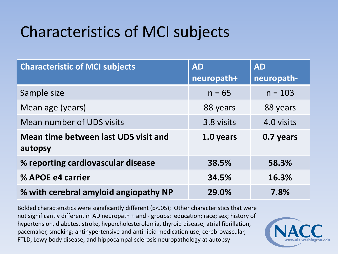# Characteristics of MCI subjects

| <b>Characteristic of MCI subjects</b>           | <b>AD</b><br>neuropath+ | <b>AD</b><br>neuropath- |
|-------------------------------------------------|-------------------------|-------------------------|
| Sample size                                     | $n = 65$                | $n = 103$               |
| Mean age (years)                                | 88 years                | 88 years                |
| Mean number of UDS visits                       | 3.8 visits              | 4.0 visits              |
| Mean time between last UDS visit and<br>autopsy | 1.0 years               | 0.7 years               |
| % reporting cardiovascular disease              | 38.5%                   | 58.3%                   |
| % APOE e4 carrier                               | 34.5%                   | 16.3%                   |
| % with cerebral amyloid angiopathy NP           | 29.0%                   | 7.8%                    |

Bolded characteristics were significantly different (p<.05); Other characteristics that were not significantly different in AD neuropath + and - groups: education; race; sex; history of hypertension, diabetes, stroke, hypercholesterolemia, thyroid disease, atrial fibrillation, pacemaker, smoking; antihypertensive and anti-lipid medication use; cerebrovascular, FTLD, Lewy body disease, and hippocampal sclerosis neuropathology at autopsy

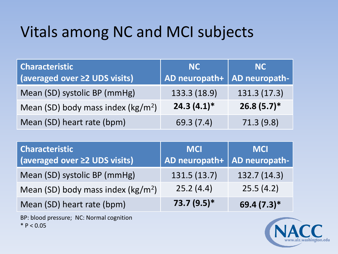# Vitals among NC and MCI subjects

| <b>Characteristic</b>               | <b>NC</b>     | <b>NC</b>     |
|-------------------------------------|---------------|---------------|
| (averaged over ≥2 UDS visits)       | AD neuropath+ | AD neuropath- |
| Mean (SD) systolic BP (mmHg)        | 133.3 (18.9)  | 131.3 (17.3)  |
| Mean (SD) body mass index $(kg/m2)$ | $24.3(4.1)$ * | $26.8(5.7)$ * |
| Mean (SD) heart rate (bpm)          | 69.3 (7.4)    | 71.3(9.8)     |

| <b>Characteristic</b><br>(averaged over ≥2 UDS visits) | <b>MCI</b><br>AD neuropath+ | <b>MCI</b><br>AD neuropath- |
|--------------------------------------------------------|-----------------------------|-----------------------------|
| Mean (SD) systolic BP (mmHg)                           | 131.5(13.7)                 | 132.7(14.3)                 |
| Mean (SD) body mass index ( $\text{kg/m}^2$ )          | 25.2(4.4)                   | 25.5(4.2)                   |
| Mean (SD) heart rate (bpm)                             | $73.7(9.5)$ *               | 69.4 (7.3)*                 |

BP: blood pressure; NC: Normal cognition  $*$  P < 0.05

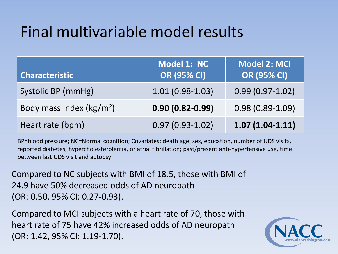# Final multivariable model results

| <b>Characteristic</b>                | <b>Model 1: NC</b><br><b>OR (95% CI)</b> | <b>Model 2: MCI</b><br><b>OR (95% CI)</b> |
|--------------------------------------|------------------------------------------|-------------------------------------------|
| Systolic BP (mmHg)                   | $1.01(0.98-1.03)$                        | $0.99(0.97 - 1.02)$                       |
| Body mass index (kg/m <sup>2</sup> ) | $0.90(0.82 - 0.99)$                      | $0.98(0.89-1.09)$                         |
| Heart rate (bpm)                     | $0.97(0.93 - 1.02)$                      | $1.07(1.04-1.11)$                         |

BP=blood pressure; NC=Normal cognition; Covariates: death age, sex, education, number of UDS visits, reported diabetes, hypercholesterolemia, or atrial fibrillation; past/present anti-hypertensive use, time between last UDS visit and autopsy

Compared to NC subjects with BMI of 18.5, those with BMI of 24.9 have 50% decreased odds of AD neuropath (OR: 0.50, 95% CI: 0.27-0.93).

Compared to MCI subjects with a heart rate of 70, those with heart rate of 75 have 42% increased odds of AD neuropath (OR: 1.42, 95% CI: 1.19-1.70).

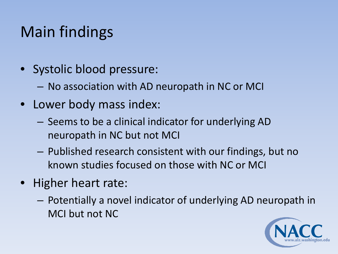# Main findings

- Systolic blood pressure:
	- No association with AD neuropath in NC or MCI
- Lower body mass index:
	- Seems to be a clinical indicator for underlying AD neuropath in NC but not MCI
	- Published research consistent with our findings, but no known studies focused on those with NC or MCI
- Higher heart rate:
	- Potentially a novel indicator of underlying AD neuropath in MCI but not NC